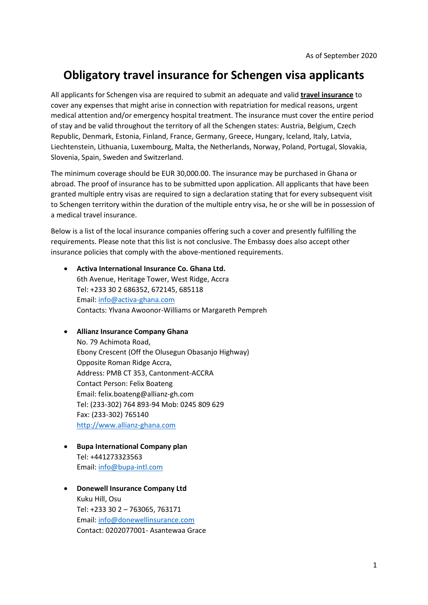# **Obligatory travel insurance for Schengen visa applicants**

All applicants for Schengen visa are required to submit an adequate and valid **travel insurance** to cover any expenses that might arise in connection with repatriation for medical reasons, urgent medical attention and/or emergency hospital treatment. The insurance must cover the entire period of stay and be valid throughout the territory of all the Schengen states: Austria, Belgium, Czech Republic, Denmark, Estonia, Finland, France, Germany, Greece, Hungary, Iceland, Italy, Latvia, Liechtenstein, Lithuania, Luxembourg, Malta, the Netherlands, Norway, Poland, Portugal, Slovakia, Slovenia, Spain, Sweden and Switzerland.

The minimum coverage should be EUR 30,000.00. The insurance may be purchased in Ghana or abroad. The proof of insurance has to be submitted upon application. All applicants that have been granted multiple entry visas are required to sign a declaration stating that for every subsequent visit to Schengen territory within the duration of the multiple entry visa, he or she will be in possession of a medical travel insurance.

Below is a list of the local insurance companies offering such a cover and presently fulfilling the requirements. Please note that this list is not conclusive. The Embassy does also accept other insurance policies that comply with the above-mentioned requirements.

- **Activa International Insurance Co. Ghana Ltd.** 6th Avenue, Heritage Tower, West Ridge, Accra Tel: +233 30 2 686352, 672145, 685118 Email: [info@activa-ghana.com](mailto:info@activa-ghana.com) Contacts: Ylvana Awoonor-Williams or Margareth Pempreh
- **Allianz Insurance Company Ghana** No. 79 Achimota Road, Ebony Crescent (Off the Olusegun Obasanjo Highway) Opposite Roman Ridge Accra, Address: PMB CT 353, Cantonment-ACCRA Contact Person: Felix Boateng Email: felix.boateng@allianz-gh.com Tel: (233-302) 764 893-94 Mob: 0245 809 629 Fax: (233-302) 765140 [http://www.allianz-ghana.com](http://www.allianz-ghana.com/)
- **Bupa International Company plan** Tel: +441273323563 Email: [info@bupa-intl.com](mailto:info@bupa-intl.com)
- **Donewell Insurance Company Ltd** Kuku Hill, Osu Tel: +233 30 2 – 763065, 763171 Email: [info@donewellinsurance.com](mailto:info@donewellinsurance.com) Contact: 0202077001- Asantewaa Grace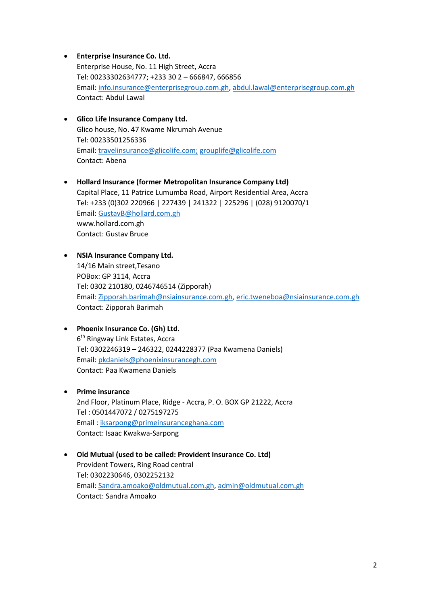- **Enterprise Insurance Co. Ltd.** Enterprise House, No. 11 High Street, Accra Tel: 00233302634777; +233 30 2 – 666847, 666856 Email: [info.insurance@enterprisegroup.com.gh,](mailto:info.insurance@enterprisegroup.com.gh) [abdul.lawal@enterprisegroup.com.gh](mailto:abdul.lawal@enterprisegroup.com.gh) Contact: Abdul Lawal
- **Glico Life Insurance Company Ltd.** Glico house, No. 47 Kwame Nkrumah Avenue Tel: 00233501256336 Email: [travelinsurance@glicolife.com;](mailto:travelinsurance@glicolife.com) grouplife@glicolife.com Contact: Abena
- **Hollard Insurance (former Metropolitan Insurance Company Ltd)** Capital Place, 11 Patrice Lumumba Road, Airport Residential Area, Accra Tel: +233 (0)302 220966 | 227439 | 241322 | 225296 | (028) 9120070/1 Email: [GustavB@hollard.com.gh](mailto:GustavB@hollard.com.gh) www.hollard.com.gh Contact: Gustav Bruce
- **NSIA Insurance Company Ltd.** 14/16 Main street,Tesano POBox: GP 3114, Accra Tel: 0302 210180, 0246746514 (Zipporah) Email: [Zipporah.barimah@nsiainsurance.com.gh,](mailto:Zipporah.barimah@nsiainsurance.com.gh) [eric.tweneboa@nsiainsurance.com.gh](mailto:eric.tweneboa@nsiainsurance.com.gh) Contact: Zipporah Barimah
- **Phoenix Insurance Co. (Gh) Ltd.** 6<sup>th</sup> Ringway Link Estates, Accra Tel: 0302246319 – 246322, 0244228377 (Paa Kwamena Daniels) Email: [pkdaniels@phoenixinsurancegh.com](mailto:pkdaniels@phoenixinsurancegh.com) Contact: Paa Kwamena Daniels
- **•** Prime insurance 2nd Floor, Platinum Place, Ridge - Accra, P. O. BOX GP 21222, Accra Tel : 0501447072 / 0275197275 Email : [iksarpong@primeinsuranceghana.com](mailto:iksarpong@primeinsuranceghana.com) Contact: Isaac Kwakwa-Sarpong
- **Old Mutual (used to be called: Provident Insurance Co. Ltd)** Provident Towers, Ring Road central Tel: 0302230646, 0302252132 Email: [Sandra.amoako@oldmutual.com.gh,](mailto:Sandra.amoako@oldmutual.com.gh) [admin@oldmutual.com.gh](mailto:admin@oldmutual.com.gh) Contact: Sandra Amoako